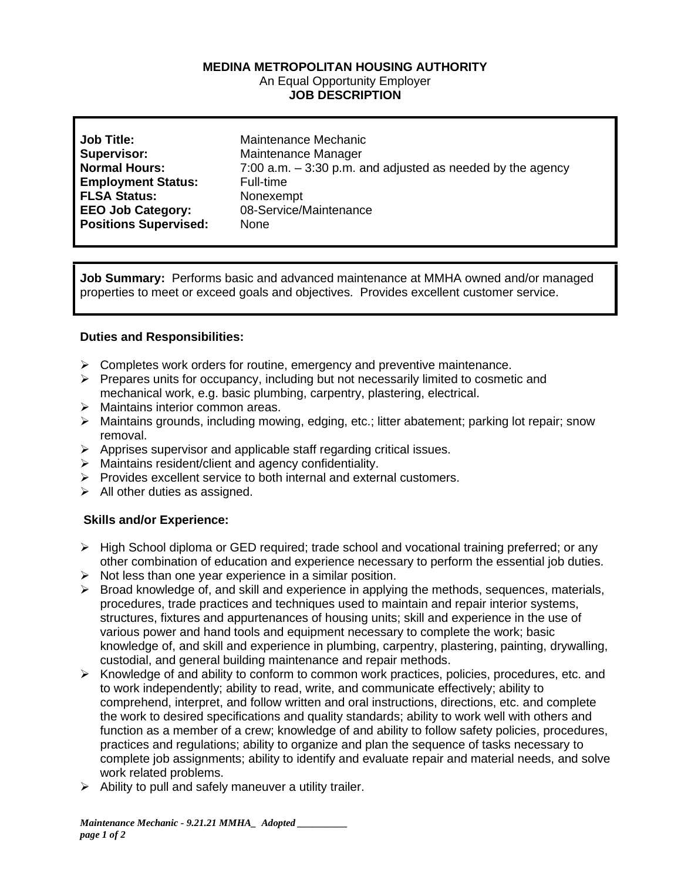## **MEDINA METROPOLITAN HOUSING AUTHORITY** An Equal Opportunity Employer **JOB DESCRIPTION**

| <b>Job Title:</b>            | Maintenance Mechanic                                          |
|------------------------------|---------------------------------------------------------------|
| <b>Supervisor:</b>           | Maintenance Manager                                           |
| <b>Normal Hours:</b>         | $7:00$ a.m. $-3:30$ p.m. and adjusted as needed by the agency |
| <b>Employment Status:</b>    | Full-time                                                     |
| <b>FLSA Status:</b>          | Nonexempt                                                     |
| <b>EEO Job Category:</b>     | 08-Service/Maintenance                                        |
| <b>Positions Supervised:</b> | None                                                          |

**Job Summary:** Performs basic and advanced maintenance at MMHA owned and/or managed properties to meet or exceed goals and objectives. Provides excellent customer service.

## **Duties and Responsibilities:**

- $\triangleright$  Completes work orders for routine, emergency and preventive maintenance.
- ➢ Prepares units for occupancy, including but not necessarily limited to cosmetic and mechanical work, e.g. basic plumbing, carpentry, plastering, electrical.
- ➢ Maintains interior common areas.
- ➢ Maintains grounds, including mowing, edging, etc.; litter abatement; parking lot repair; snow removal.
- ➢ Apprises supervisor and applicable staff regarding critical issues.
- ➢ Maintains resident/client and agency confidentiality.
- ➢ Provides excellent service to both internal and external customers.
- $\triangleright$  All other duties as assigned.

## **Skills and/or Experience:**

- ➢ High School diploma or GED required; trade school and vocational training preferred; or any other combination of education and experience necessary to perform the essential job duties.
- $\triangleright$  Not less than one year experience in a similar position.
- $\triangleright$  Broad knowledge of, and skill and experience in applying the methods, sequences, materials, procedures, trade practices and techniques used to maintain and repair interior systems, structures, fixtures and appurtenances of housing units; skill and experience in the use of various power and hand tools and equipment necessary to complete the work; basic knowledge of, and skill and experience in plumbing, carpentry, plastering, painting, drywalling, custodial, and general building maintenance and repair methods.
- $\triangleright$  Knowledge of and ability to conform to common work practices, policies, procedures, etc. and to work independently; ability to read, write, and communicate effectively; ability to comprehend, interpret, and follow written and oral instructions, directions, etc. and complete the work to desired specifications and quality standards; ability to work well with others and function as a member of a crew; knowledge of and ability to follow safety policies, procedures, practices and regulations; ability to organize and plan the sequence of tasks necessary to complete job assignments; ability to identify and evaluate repair and material needs, and solve work related problems.
- $\triangleright$  Ability to pull and safely maneuver a utility trailer.